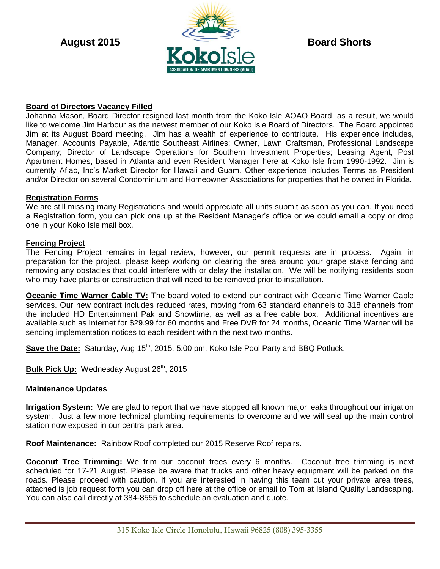

## **Board of Directors Vacancy Filled**

Johanna Mason, Board Director resigned last month from the Koko Isle AOAO Board, as a result, we would like to welcome Jim Harbour as the newest member of our Koko Isle Board of Directors. The Board appointed Jim at its August Board meeting. Jim has a wealth of experience to contribute. His experience includes, Manager, Accounts Payable, Atlantic Southeast Airlines; Owner, Lawn Craftsman, Professional Landscape Company; Director of Landscape Operations for Southern Investment Properties; Leasing Agent, Post Apartment Homes, based in Atlanta and even Resident Manager here at Koko Isle from 1990-1992. Jim is currently Aflac, Inc's Market Director for Hawaii and Guam. Other experience includes Terms as President and/or Director on several Condominium and Homeowner Associations for properties that he owned in Florida.

### **Registration Forms**

We are still missing many Registrations and would appreciate all units submit as soon as you can. If you need a Registration form, you can pick one up at the Resident Manager's office or we could email a copy or drop one in your Koko Isle mail box.

## **Fencing Project**

The Fencing Project remains in legal review, however, our permit requests are in process. Again, in preparation for the project, please keep working on clearing the area around your grape stake fencing and removing any obstacles that could interfere with or delay the installation. We will be notifying residents soon who may have plants or construction that will need to be removed prior to installation.

**Oceanic Time Warner Cable TV:** The board voted to extend our contract with Oceanic Time Warner Cable services. Our new contract includes reduced rates, moving from 63 standard channels to 318 channels from the included HD Entertainment Pak and Showtime, as well as a free cable box. Additional incentives are available such as Internet for \$29.99 for 60 months and Free DVR for 24 months, Oceanic Time Warner will be sending implementation notices to each resident within the next two months.

**Save the Date:** Saturday, Aug 15<sup>th</sup>, 2015, 5:00 pm, Koko Isle Pool Party and BBQ Potluck.

**Bulk Pick Up: Wednesday August 26<sup>th</sup>, 2015** 

### **Maintenance Updates**

**Irrigation System:** We are glad to report that we have stopped all known major leaks throughout our irrigation system. Just a few more technical plumbing requirements to overcome and we will seal up the main control station now exposed in our central park area.

**Roof Maintenance:** Rainbow Roof completed our 2015 Reserve Roof repairs.

**Coconut Tree Trimming:** We trim our coconut trees every 6 months. Coconut tree trimming is next scheduled for 17-21 August. Please be aware that trucks and other heavy equipment will be parked on the roads. Please proceed with caution. If you are interested in having this team cut your private area trees, attached is job request form you can drop off here at the office or email to Tom at Island Quality Landscaping. You can also call directly at 384-8555 to schedule an evaluation and quote.